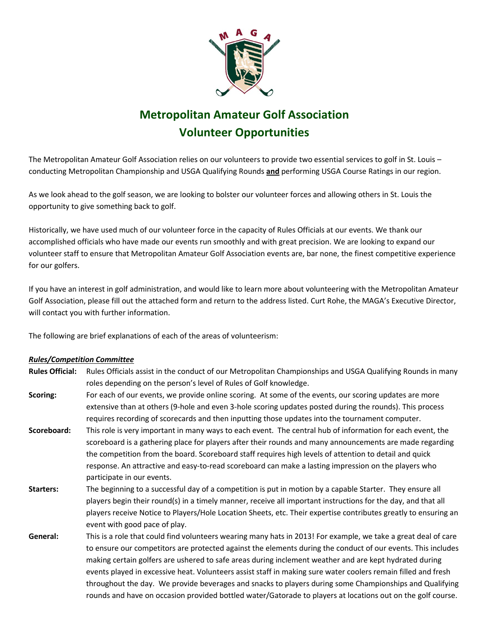

## **Metropolitan Amateur Golf Association Volunteer Opportunities**

The Metropolitan Amateur Golf Association relies on our volunteers to provide two essential services to golf in St. Louis – conducting Metropolitan Championship and USGA Qualifying Rounds **and** performing USGA Course Ratings in our region.

As we look ahead to the golf season, we are looking to bolster our volunteer forces and allowing others in St. Louis the opportunity to give something back to golf.

Historically, we have used much of our volunteer force in the capacity of Rules Officials at our events. We thank our accomplished officials who have made our events run smoothly and with great precision. We are looking to expand our volunteer staff to ensure that Metropolitan Amateur Golf Association events are, bar none, the finest competitive experience for our golfers.

If you have an interest in golf administration, and would like to learn more about volunteering with the Metropolitan Amateur Golf Association, please fill out the attached form and return to the address listed. Curt Rohe, the MAGA's Executive Director, will contact you with further information.

The following are brief explanations of each of the areas of volunteerism:

## *Rules/Competition Committee*

- **Rules Official:** Rules Officials assist in the conduct of our Metropolitan Championships and USGA Qualifying Rounds in many roles depending on the person's level of Rules of Golf knowledge.
- **Scoring:** For each of our events, we provide online scoring. At some of the events, our scoring updates are more extensive than at others (9-hole and even 3-hole scoring updates posted during the rounds). This process requires recording of scorecards and then inputting those updates into the tournament computer.
- **Scoreboard:** This role is very important in many ways to each event. The central hub of information for each event, the scoreboard is a gathering place for players after their rounds and many announcements are made regarding the competition from the board. Scoreboard staff requires high levels of attention to detail and quick response. An attractive and easy-to-read scoreboard can make a lasting impression on the players who participate in our events.
- **Starters:** The beginning to a successful day of a competition is put in motion by a capable Starter. They ensure all players begin their round(s) in a timely manner, receive all important instructions for the day, and that all players receive Notice to Players/Hole Location Sheets, etc. Their expertise contributes greatly to ensuring an event with good pace of play.
- **General:** This is a role that could find volunteers wearing many hats in 2013! For example, we take a great deal of care to ensure our competitors are protected against the elements during the conduct of our events. This includes making certain golfers are ushered to safe areas during inclement weather and are kept hydrated during events played in excessive heat. Volunteers assist staff in making sure water coolers remain filled and fresh throughout the day. We provide beverages and snacks to players during some Championships and Qualifying rounds and have on occasion provided bottled water/Gatorade to players at locations out on the golf course.